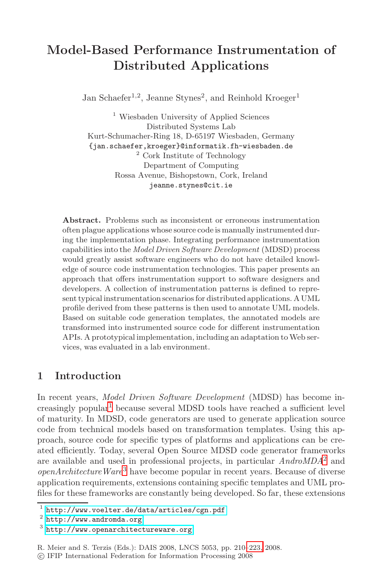# **Model-Based Performance Instrumentation of Distributed Applications**

Jan Schaefer<sup>1,2</sup>, Jeanne Stynes<sup>2</sup>, and Reinhold Kroeger<sup>1</sup>

<sup>1</sup> Wiesbaden University of Applied Sciences Distributed Systems Lab Kurt-Schumacher-Ring 18, D-65197 Wiesbaden, Germany {jan.schaefer,kroeger}@informatik.fh-wiesbaden.de <sup>2</sup> Cork Institute of Technology Department of Computing Rossa Avenue, Bishopstown, Cork, Ireland jeanne.stynes@cit.ie

**Abstract.** Problems such as inconsistent or erroneous instrumentation often plague applications whose source code is manually instrumented during the implementation phase. Integrating performance instrumentation capabilities into the *Model Driven Software Development* (MDSD) process would greatly assist software engineers who do not have detailed knowledge of source code instrumentation technologies. This paper presents an approach that offers instrumentation support to software designers and developers. A collection of instrumentation patterns is defined to represent typical instrumentation scenarios for distributed applications. A UML profile derived from these patterns is then used to annotate UML models. Based on suitable code generation templates, the annotated models are transformed into instrumented source code for different instrumentation APIs. A prototypical implementation, including an adaptation to Web services, was evaluated in a lab environment.

# <span id="page-0-1"></span>**1 Introduction**

In [re](#page-0-0)cent years, *Model Driven Software Development* (MDSD) has become increasingly popular<sup>1</sup> because several MDSD tools have reached a sufficient level of maturity. In MDSD, code generators are used to generate application source [code from technical models ba](http://www.voelter.de/data/articles/cgn.pdf)sed on transformation templates. Using this ap[proach, s](http://www.andromda.org)ource code for specific types of platforms and applications can be cre[ated](http://www.openarchitectureware.org) [efficiently.](http://www.openarchitectureware.org) [Today](http://www.openarchitectureware.org), several Open Source MDSD code generator frameworks are available and used in professi[onal p](#page-13-0)rojects, in particular *AndroMDA*<sup>2</sup> and *openArchitectureWare*<sup>3</sup> have become popular in recent years. Because of diverse application requirements, extensions containing specific templates and UML profiles for these frameworks are constantly being developed. So far, these extensions

<span id="page-0-0"></span><sup>1</sup> http://www.voelter.de/data/articles/cgn.pdf

 $2$  http://www.andromda.org

<sup>3</sup> http://www.openarchitectureware.org

R. Meier and S. Terzis (Eds.): DAIS 2008, LNCS 5053, pp. 210–223, 2008.

<sup>-</sup>c IFIP International Federation for Information Processing 2008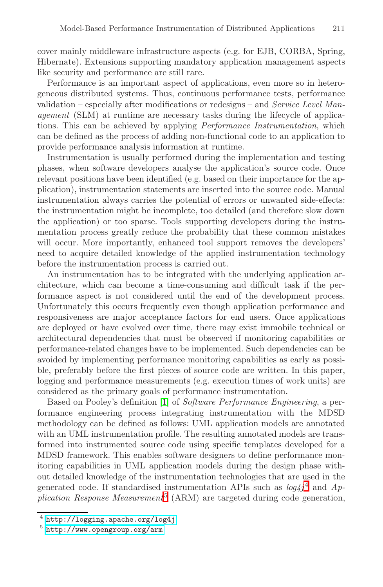cover mainly middleware infrastructure aspects (e.g. for EJB, CORBA, Spring, Hibernate). Extensions supporting mandatory application management aspects like security and performance are still rare.

Performance is an important aspect of applications, even more so in heterogeneous distributed systems. Thus, continuous performance tests, performance validation – especially after modifications or redesigns – and *Service Level Management* (SLM) at runtime are necessary tasks during the lifecycle of applications. This can be achieved by applying *Performance Instrumentation*, which can be defined as the process of adding non-functional code to an application to provide performance analysis information at runtime.

Instrumentation is usually performed during the implementation and testing phases, when software developers analyse the application's source code. Once relevant positions have been identified (e.g. based on their importance for the application), instrumentation statements are inserted into the source code. Manual instrumentation always carries the potential of errors or unwanted side-effects: the instrumentation might be incomplete, too detailed (and therefore slow down the application) or too sparse. Tools supporting developers during the instrumentation process greatly reduce the probability that these common mistakes will occur. More importantly, enhanced tool support removes the developers' need to acquire detailed knowledge of the applied instrumentation technology before the instrumentation process is carried out.

An instrumentation has to be integrated with the underlying application architecture, which can become a time-consuming and difficult task if the performance aspect is not considered until the end of the development process. Unfortunately this occurs frequently even though application performance and responsivene[ss](#page-12-0) are major acceptance factors for end users. Once applications are deployed or have evolved over time, there may exist immobile technical or architectural dependencies that must be observed if monitoring capabilities or performance-related changes have to be implemented. Such dependencies can be avoided by implementing performance monitoring capabilities as early as possible, preferably before the first pieces of source code are written. In this paper, logging and performance measurements (e.g. execution times of work units) are considered as the primary goals of performance instrumentation.

<span id="page-1-1"></span><span id="page-1-0"></span>Based on Pooley's definition [1] of *Software Pe[rfo](#page-1-0)rmance Engineering*, a performance en[gin](#page-1-1)eering process integrating instrumentation with the MDSD methodology can be defined as follows: UML application models are annotated [with an UML inst](http://logging.apache.org/log4j)rumentation profile. The resulting annotated models are trans[formed into in](http://www.opengroup.org/arm)strumented source code using specific templates developed for a MDSD framework. This enables software designers to define performance monitoring capabilities in UML application models during the design phase without detailed knowledge of the instrumentation technologies that are used in the generated code. If standardised instrumentation APIs such as  $log 4j^4$  and  $Ap$ *plication Response Measurement*<sup>5</sup> (ARM) are targeted during code generation,

<sup>4</sup> http://logging.apache.org/log4j

 $^5$ http://www.opengroup.org/arm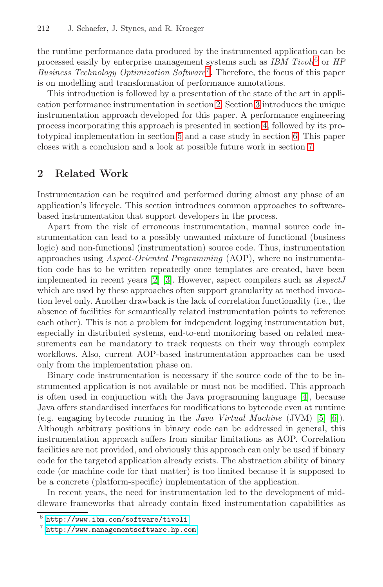the runtime perf[orm](#page-8-0)ance data produce[d](#page-7-0) [b](#page-7-0)y the [in](#page-10-0)strumented application can be processed easily by enterprise management system[s s](#page-11-0)uch as *IBM Tivoli*<sup>6</sup> or *HP Business Technology Optimization Software*7. Therefore, the focus of this paper is on modelling and transformation of performance annotations.

<span id="page-2-0"></span>This introduction is followed by a presentation of the state of the art in application performance instrumentation in section 2. Section 3 introduces the unique instrumentation approach developed for this paper. A performance engineering process incorporating this approach is presented in section 4, followed by its prototypical implementation in section 5 and a case study in section 6. This paper closes with a conclusion and a look at possible future work in section 7.

### **2 Related Work**

Instrumen[tat](#page-12-1)i[on](#page-12-2) can be required and performed during almost any phase of an application's lifecycle. This section introduces common approaches to softwarebased instrumentation that support developers in the process.

Apart from the risk of erroneous instrumentation, manual source code instrumentation can lead to a possibly unwanted mixture of functional (business logic) and non-functional (instrumentation) source code. Thus, instrumentation approaches using *Aspect-Oriented Programming* (AOP), where no instrumentation code has to be written repeatedly once templates are created, have been implemented in recent years [2] [3]. However, aspect compilers such as *AspectJ* which are used by these approaches often support granularity at method invocation level only. Another drawback is the lack of correlation functionality (i.e., the absence of facilities for semantically related instr[um](#page-12-3)entation points to reference each other). This is not a problem for independent logging instrumentation but, especially in distributed systems, end-to-end monitor[in](#page-12-4)g [b](#page-12-5)ased on related measurements can be mandatory to track requests on their way through complex workflows. Also, current AOP-based instrumentation approaches can be used only from the implementation phase on.

Binary code instrumentation is necessary if the source code of the to be instrumented application is not available or must not be modified. This approach is often used in conjunction with the Java programming language [4], because Java offers standardised interfaces for modifications to bytecode even at runtime (e.g. engaging bytecode running in the *Java Virtual Machine* (JVM) [5] [6]). Although arbitrary positions in binary code can be addressed in general, this [instrumentation app](http://www.ibm.com/software/tivoli)roach suffers from similar limitations as AOP. Correlation [facilities are not provid]( http://www.managementsoftware.hp.com)ed, and obviously this approach can only be used if binary code for the targeted application already exists. The abstraction ability of binary code (or machine code for that matter) is too limited because it is supposed to be a concrete (platform-specific) implementation of the application.

In recent years, the need for instrumentation led to the development of middleware frameworks that already contain fixed instrumentation capabilities as

<sup>6</sup> http://www.ibm.com/software/tivoli

<sup>7</sup> http://www.managementsoftware.hp.com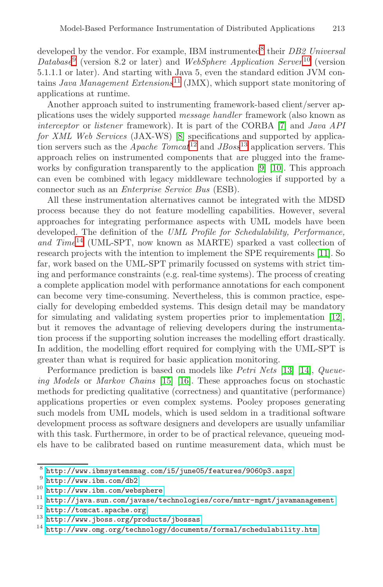developed by the [ve](#page-13-1)ndor. For example, IB[M](#page-12-6) [in](#page-12-6)strumented<sup>8</sup> their *DB2 Universal Database*<sup>9</sup> (version [8.2](#page-3-0) or later) [an](#page-3-1)d *WebSphere Application Server* <sup>10</sup> (version 5.1.1.1 or later). And starting with Java 5, even the standard edition JVM contains *Java Management Extensions*<sup>11</sup> [\(J](#page-13-2)[MX\)](#page-13-3), which support state monitoring of applications at runtime.

Another approach suited to instrumenting framework-based client/server applications uses the widely supported *message handler* framework (also known as *interceptor* or *listener* framework). It is part of the CORBA [7] and *Java API for XML Web Services* (JAX-WS) [8] specifications and supported by application servers such as the *Apache Tomcat*<sup>12</sup> and *JBoss*<sup>13</sup> application servers. This approach relies on instrumented components that are plugged into the frameworks by configuration transparently to the applicati[on](#page-13-4) [9] [10]. This approach can even be combined with legacy middleware technologies if supported by a connector such as an *Enterprise Service Bus* (ESB).

All these instrumentation alternatives cannot be integrated with the MDSD process because they do not feature modelling capabilities. However, several approaches for integrating performance aspects with UML models have been developed. The definition of the *UML Profile for Sched[ula](#page-13-5)bility, Performance, and Time*<sup>14</sup> (UML-SPT, now known as MARTE) sparked a vast collection of research projects with the intention to implement the SPE requirements [11]. So far, work based on the UML-SPT primarily focussed on systems with strict timing and performance constraints (e.g. real-time systems). The process of creating a complete application model with performa[nce](#page-13-6) [ann](#page-13-7)otations for each component can become [very](#page-13-8) [tim](#page-13-9)e-consuming. Nevertheless, this is common practice, especially for developing embedded systems. This design detail may be mandatory for simulating and validating system properties prior to implementation [12], but it removes the advantage of relieving developers during the instrumentation process if the supporting solution increases the modelling effort drastically. In addition, the modelling effort required for complying with the UML-SPT is greater than what is required for basic application monitoring.

Performance prediction is based on models like *Petri Nets* [13] [14], *Queueing Models* or *Markov Chains* [15] [16]. These approaches focus on stochastic [methods for predicting qualitative \(correctness\)]( http://www.ibmsystemsmag.com/i5/june05/features/9060p3.aspx) and quantitative (performance) [applicat](http://www.ibm.com/db2)ions properties or even complex systems. Pooley proposes generating [such](http://www.ibm.com/websphere) [models](http://www.ibm.com/websphere) [f](http://www.ibm.com/websphere)rom UML models, which is used seldom in a traditional software [development]( http://java.sun.com/javase/technologies/core/mntr-mgmt/javamanagement) [process]( http://java.sun.com/javase/technologies/core/mntr-mgmt/javamanagement) [as]( http://java.sun.com/javase/technologies/core/mntr-mgmt/javamanagement) [software]( http://java.sun.com/javase/technologies/core/mntr-mgmt/javamanagement) [designers]( http://java.sun.com/javase/technologies/core/mntr-mgmt/javamanagement) [and]( http://java.sun.com/javase/technologies/core/mntr-mgmt/javamanagement) [developers]( http://java.sun.com/javase/technologies/core/mntr-mgmt/javamanagement) [a]( http://java.sun.com/javase/technologies/core/mntr-mgmt/javamanagement)re usually unfamiliar [with this task. Furtherm](http://www.jboss.org/products/jbossas)ore, in order to be of practical relevance, queueing mod[els have to be calibrated based on runtime measurem]( http://www.omg.org/technology/documents/formal/schedulability.htm)ent data, which must be

<span id="page-3-1"></span><span id="page-3-0"></span><sup>8</sup> http://www.ibmsystemsmag.com/i5/june05/features/9060p3.aspx

 $9$  http://www.ibm.com/db2

<sup>10</sup> http://www.ibm.com/websphere

 $11 \text{ http://java.sun.com/javase/technologies/core/mntr-mgmt/javamanagement}$ 

<sup>12</sup> http://tomcat.apache.org

<sup>13</sup> http://www.jboss.org/products/jbossas

<sup>14</sup> http://www.omg.org/technology/documents/formal/schedulability.htm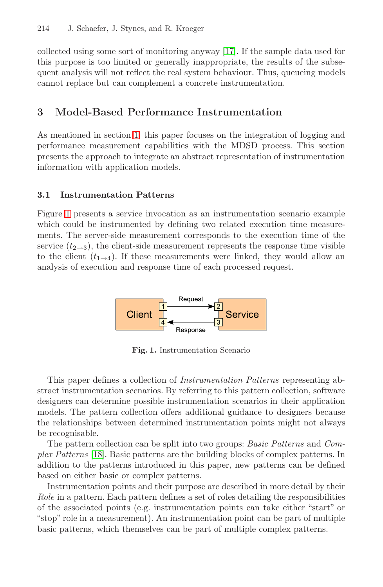<span id="page-4-0"></span>collec[te](#page-0-1)d using some sort of monitoring anyway [17]. If the sample data used for this purpose is too limited or generally inappropriate, the results of the subsequent analysis will not reflect the real system behaviour. Thus, queueing models cannot replace but can complement a concrete instrumentation.

# <span id="page-4-1"></span>**3 Model-Based Performance Instrumentation**

As mentioned in section 1, this paper focuses on the integration of logging and performance measurement capabilities with the MDSD process. This section presents the approach to integrate an abstract representation of instrumentation information with application models.

### **3.1 Instrumentation Patterns**

Figure 1 presents a service invocation as an instrumentation scenario example which could be instrumented by defining two related execution time measurements. The server-side measurement corresponds to the execution time of the service  $(t_{2\rightarrow 3})$ , the client-side measurement represents the response time visible to the client  $(t_{1\rightarrow 4})$ . If these measurements were linked, they would allow an analysis of execution and response time of each processed request.



**Fig. 1.** Instrumentation Scenario

This paper defines a collection of *Instrumentation Patterns* representing abstract instrumentation scenarios. By referring to this pattern collection, software designers can determine possible instrumentation scenarios in their application models. The pattern collection offers additional guidance to designers because the relationships between determined instrumentation points might not always be recognisable.

The pattern collection can be split into two groups: *Basic Patterns* and *Complex Patterns* [18]. Basic patterns are the building blocks of complex patterns. In addition to the patterns introduced in this paper, new patterns can be defined based on either basic or complex patterns.

Instrumentation points and their purpose are described in more detail by their *Role* in a pattern. Each pattern defines a set of roles detailing the responsibilities of the associated points (e.g. instrumentation points can take either "start" or "stop" role in a measurement). An instrumentation point can be part of multiple basic patterns, which themselves can be part of multiple complex patterns.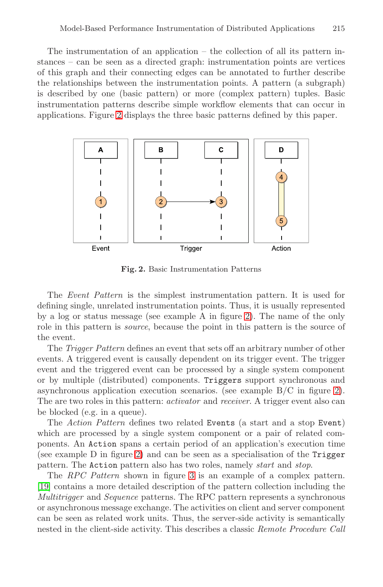The instrumentation of an application – the collection of all its pattern instances – can be seen as a directed graph: instrumentation points are vertices of this graph and their connecting edges can be annotated to further describe the relationships between the instrumentation points. A pattern (a subgraph) is described by one (basic pattern) or more (complex pattern) tuples. Basic instrumentation patterns describe simple workflow elements that can occur in applications. Figure 2 displays the three basic patterns defined by this paper.

<span id="page-5-0"></span>

**Fig. 2.** Basic Instrumentation Patterns

The *Event Pattern* is the simplest instrumentation pattern. It is used for defining single, unrelated instrumentation points. Thus, it [is](#page-5-0) usually represented by a log or status message (see example A in figure 2). The name of the only role in this pattern is *source*, because the point in this pattern is the source of the event.

The *Trigger Pattern* defines an event that sets off an arbitrary number of other events. A triggered event is causally dependent on its trigger event. The trigger event [an](#page-5-0)d the triggered event can be processed by a single system component or by multiple (distributed) components. Triggers support synchronous and asynchronous appli[cat](#page-6-0)ion execution scenarios. (see example B/C in figure 2). The are two roles in this pattern: *activator* and *receiver*. A trigger event also can be blocked (e.g. in a queue).

The *Action Pattern* defines two related Events (a start and a stop Event) which are processed by a single system component or a pair of related components. An Action spans a certain period of an application's execution time (see example  $D$  in figure 2) and can be seen as a specialisation of the Trigger pattern. The Action pattern also has two roles, namely *start* and *stop*.

The *RPC Pattern* shown in figure 3 is an example of a complex pattern. [19] contains a more detailed description of the pattern collection including the *Multitrigger* and *Sequence* patterns. The RPC pattern represents a synchronous or asynchronous message exchange. The activities on client and server component can be seen as related work units. Thus, the server-side activity is semantically nested in the client-side activity. This describes a classic *Remote Procedure Call*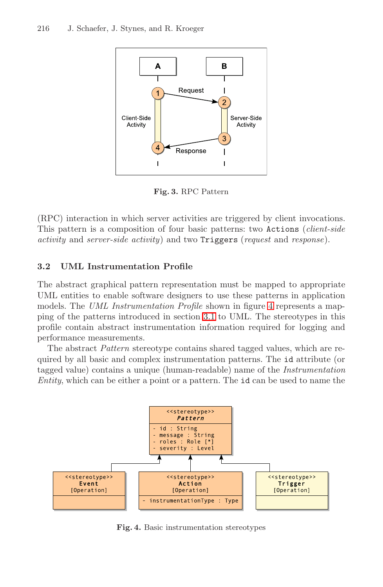<span id="page-6-0"></span>

**Fig. 3.** RPC Pattern

<span id="page-6-2"></span>(RPC) interaction in which server activities are triggered by client invocations. This pattern is a composition of four b[as](#page-6-1)ic patterns: two Actions (*client-side activity* and *server-side [act](#page-4-1)ivity*) and two Triggers (*request* and *response*).

### **3.2 UML Instrumentation Profile**

The abstract graphical pattern representation must be mapped to appropriate UML entities to enable software designers to use these patterns in application models. The *UML Instrumentation Profile* shown in figure 4 represents a mapping of the patterns introduced in section 3.1 to UML. The stereotypes in this profile contain abstract instrumentation information required for logging and performance measurements.

The abstract *Pattern* stereotype contains shared tagged values, which are required by all basic and complex instrumentation patterns. The id attribute (or tagged value) contains a unique (human-readable) name of the *Instrumentation Entity*, which can be either a point or a pattern. The id can be used to name the

<span id="page-6-1"></span>

**Fig. 4.** Basic instrumentation stereotypes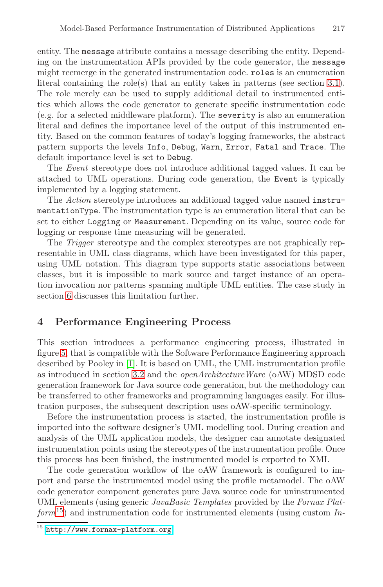entity. The message attribute contains a message describing the entity. Depending on the instrumentation APIs provided by the code generator, the message might reemerge in the generated instrumentation code. roles is an enumeration literal containing the role(s) that an entity takes in patterns (see section 3.1). The role merely can be used to supply additional detail to instrumented entities which allows the code generator to generate specific instrumentation code (e.g. for a selected middleware platform). The severity is also an enumeration literal and defines the importance level of the output of this instrumented entity. Based on the common features of today's logging frameworks, the abstract pattern supports the levels Info, Debug, Warn, Error, Fatal and Trace. The default importance level is set to Debug.

The *Event* stereotype does not introduce additional tagged values. It can be attached to UML operations. During code generation, the Event is typically implemented by a logging statement.

The *Action* stereotype introduces an additional tagged value named instrumentationType. The instrumentation type is an enumeration literal that can be set to either Logging or Measurement. Depending on its value, source code for logging or response time measuring will be generated.

<span id="page-7-0"></span>The *Trigger* stereotype and the complex stereotypes are not graphically representable in UML class diagrams, which have been investigated for this paper, using UML notation. This diagram type supports static associations between classes, but it is impossible to mark source and target instance of an operation [in](#page-12-0)vocation nor patterns spanning multiple UML entities. The case study in secti[on](#page-6-2) [6](#page-6-2) discusses this limitation further.

# **4 Performance Engineering Process**

This section introduces a performance engineering process, illustrated in figure 5, that is compatible with the Software Performance Engineering approach described by Pooley in [1]. It is based on UML, the UML instrumentation profile as introduced in section 3.2 and the *openArchitectureWare* (oAW) MDSD code generation framework for Java source code generation, but the methodology can be transferred to other frameworks and programming languages easily. For illustration purposes, the subsequent description uses oAW-specific terminology.

Before the instrumentation process is started, the instrumentation profile is imported into the software designer's UML modelling tool. During creation and analysis of the UML application models, the designer can annotate designated [instrumentation](http://www.fornax-platform.org) points using the stereotypes of the instrumentation profile. Once this process has been finished, the instrumented model is exported to XMI.

The code generation workflow of the oAW framework is configured to import and parse the instrumented model using the profile metamodel. The oAW code generator component generates pure Java source code for uninstrumented UML elements (using generic *JavaBasic Templates* provided by the *Fornax Platform*<sup>15</sup>) and instrumentation code for instrumented elements (using custom *In-*

 $\frac{15}{15}$  http://www.fornax-platform.org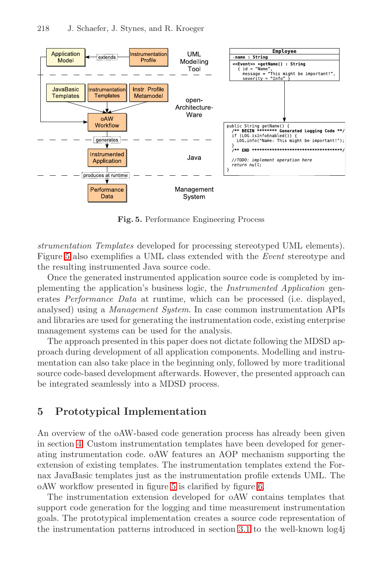<span id="page-8-1"></span>

**Fig. 5.** Performance Engineering Process

*strumentation Templates* developed for processing stereotyped UML elements). Figure 5 also exemplifies a UML class extended with the *Event* stereotype and the resulting instrumented Java source code.

Once the generated instrumented application source code is completed by implementing the application's business logic, the *Instrumented Application* generates *Performance Data* at runtime, which can be processed (i.e. displayed, analysed) using a *Management System*. In case common instrumentation APIs and libraries are used for generating the instrumentation code, existing enterprise management systems can be used for the analysis.

<span id="page-8-0"></span>The approach presented in this paper does not dictate following the MDSD approach during development of all application components. Modelling and instrumentation can also take place in the beginning only, followed by more traditional source code-based development afterwards. However, the presented approach can be integrated seamlessly into a MDSD process.

### **5 Prototy[pi](#page-8-1)cal Implement[at](#page-9-0)ion**

An overview of the oAW-based code generation process has already been given in section 4. Custom instrument[ation](#page-4-1) templates have been developed for generating instrumentation code. oAW features an AOP mechanism supporting the extension of existing templates. The instrumentation templates extend the Fornax JavaBasic templates just as the instrumentation profile extends UML. The oAW workflow presented in figure 5 is clarified by figure 6.

The instrumentation extension developed for oAW contains templates that support code generation for the logging and time measurement instrumentation goals. The prototypical implementation creates a source code representation of the instrumentation patterns introduced in section 3.1 to the well-known log4j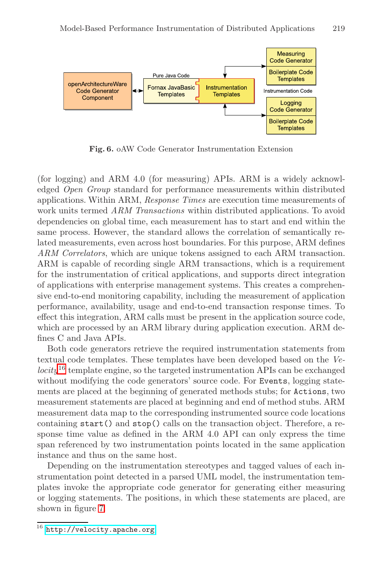<span id="page-9-0"></span>

#### Model-Based Performance Instrumentation of Distributed Applications 219

**Fig. 6.** oAW Code Generator Instrumentation Extension

(for logging) and ARM 4.0 (for measuring) APIs. ARM is a widely acknowledged *Open Group* standard for performance measurements within distributed applications. Within ARM, *Response Times* are execution time measurements of work units termed *ARM Transactions* within distributed applications. To avoid dependencies on global time, each measurement has to start and end within the same process. However, the standard allows the correlation of semantically related measurements, even across host boundaries. For this purpose, ARM defines *ARM Correlators*, which are unique tokens assigned to each ARM transaction. ARM is capable of recording single ARM transactions, which is a requirement for the instrumentation of critical applications, and supports direct integration of applications with enterprise management systems. This creates a comprehensive end-to-end monitoring capability, including the measurement of application performance, availability, usage and end-to-end transaction response times. To effect this integration, ARM calls must be present in the application source code, which are processed by an ARM library during application execution. ARM defines C and Java APIs.

Both code generators retrieve the required instrumentation statements from textual code templates. These templates have been developed based on the *Velocity*<sup>16</sup> template engine, so the targeted instrumentation APIs can be exchanged without modifying the code generators' source code. For Events, logging statements are placed at the beginning of generated methods stubs; for Actions, two measurement statements are placed at beginning and end of method stubs. ARM measurement data map to the corresponding instrumented source code locations containing start() and stop() calls on the transaction object. Therefore, a response time value as defined in the ARM 4.0 API can only express the time [span referen](http://velocity.apache.org)ced by two instrumentation points located in the same application instance and thus on the same host.

Depending on the instrumentation stereotypes and tagged values of each instrumentation point detected in a parsed UML model, the instrumentation templates invoke the appropriate code generator for generating either measuring or logging statements. The positions, in which these statements are placed, are shown in figure 7.

<sup>16</sup> http://velocity.apache.org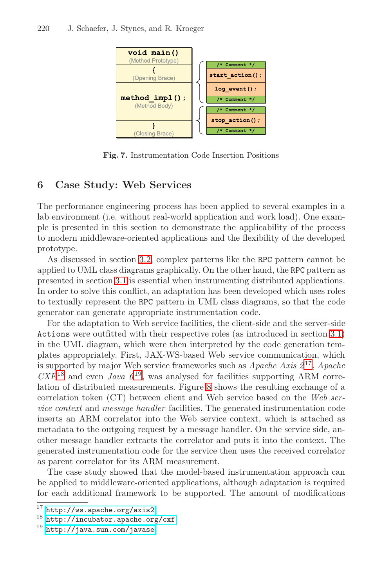

**Fig. 7.** Instrumentation Code Insertion Positions

# <span id="page-10-0"></span>**6 C[ase](#page-6-2) Study: Web Services**

[The](#page-4-1) performance engineering process has been applied to several examples in a lab environment (i.e. without real-world application and work load). One example is presented in this section to demonstrate the applicability of the process to modern middleware-oriented applications and the flexibility of the developed prototype.

As discussed in section 3.2, complex patterns like the [RPC](#page-4-1) pattern cannot be applied to UML class diagrams graphically. On the other hand, the RPC pattern as presented in section 3.1 is essential when instrume[nti](#page-10-1)ng distributed applications. In or[der](#page-10-2) to solve this conflict, an adaptation has been developed which uses roles to textually represent th[e](#page-11-1) RPC pattern in UML class diagrams, so that the code generator can generate appropriate instrumentation code.

For the adaptation to Web service facilities, the client-side and the server-side Actions were outfitted with their respective roles (as introduced in section 3.1) in the UML diagram, which were then interpreted by the code generation templates appropriately. First, JAX-WS-based Web service communication, which is supported by major Web service frameworks such as *Apache Axis 2* <sup>17</sup>, *Apache*  $C\chi F^{18}$  and even *Java*  $6^{19}$ , was analysed for facilities supporting ARM correlation of distributed measurements. Figure 8 shows the resulting exchange of a correlation token (CT) between client and Web service based on the *Web service context* and *message handler* facilities. The generated instrumentation code inserts an ARM correlator into the Web service context, which is attached as [metadata to](http://ws.apache.org/axis2) the outgoing request by a message handler. On the service side, an[other message ha](http://incubator.apache.org/cxf)ndler extracts the correlator and puts it into the context. The [generated](http://java.sun.com/javase) [in](http://java.sun.com/javase)strumentation code for the service then uses the received correlator as parent correlator for its ARM measurement.

<span id="page-10-2"></span><span id="page-10-1"></span>The case study showed that the model-based instrumentation approach can be applied to middleware-oriented applications, although adaptation is required for each additional framework to be supported. The amount of modifications

 $\frac{17}{17}$  http://ws.apache.org/axis2

<sup>18</sup> http://incubator.apache.org/cxf

<sup>19</sup> http://java.sun.com/javase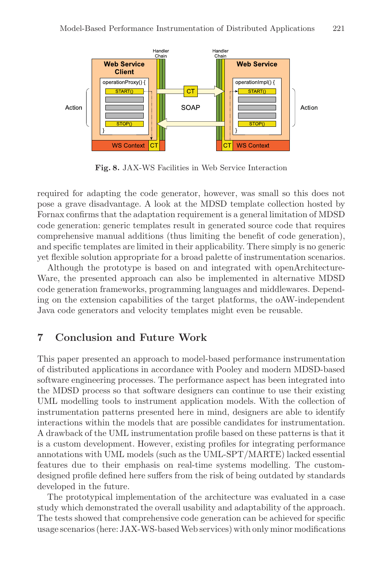

**Fig. 8.** JAX-WS Facilities in Web Service Interaction

<span id="page-11-1"></span>required for adapting the code generator, however, was small so this does not pose a grave disadvantage. A look at the MDSD template collection hosted by Fornax confirms that the adaptation requirement is a general limitation of MDSD code generation: generic templates result in generated source code that requires comprehensive manual additions (thus limiting the benefit of code generation), and specific templates are limited in their applicability. There simply is no generic yet flexible solution appropriate for a broad palette of instrumentation scenarios.

Although the prototype is based on and integrated with openArchitecture-Ware, the presented approach can also be implemented in alternative MDSD code generation frameworks, programming languages and middlewares. Depending on the extension capabilities of the target platforms, the oAW-independent Java code generators and velocity templates might even be reusable.

# <span id="page-11-0"></span>**7 Conclusion and Future Work**

This paper presented an approach to model-based performance instrumentation of distributed applications in accordance with Pooley and modern MDSD-based software engineering processes. The performance aspect has been integrated into the MDSD process so that software designers can continue to use their existing UML modelling tools to instrument application models. With the collection of instrumentation patterns presented here in mind, designers are able to identify interactions within the models that are possible candidates for instrumentation. A drawback of the UML instrumentation profile based on these patterns is that it is a custom development. However, existing profiles for integrating performance annotations with UML models (such as the UML-SPT/MARTE) lacked essential features due to their emphasis on real-time systems modelling. The customdesigned profile defined here suffers from the risk of being outdated by standards developed in the future.

The prototypical implementation of the architecture was evaluated in a case study which demonstrated the overall usability and adaptability of the approach. The tests showed that comprehensive code generation can be achieved for specific usage scenarios (here: JAX-WS-basedWeb services) with only minor modifications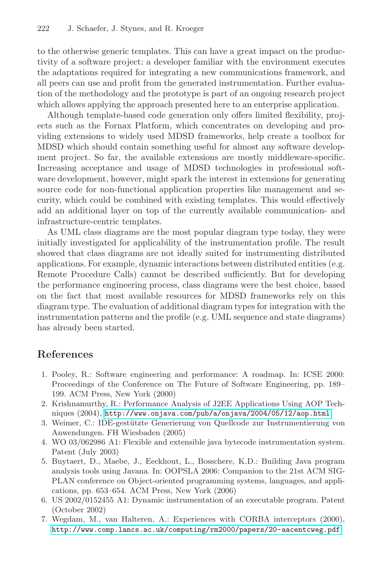to the otherwise generic templates. This can have a great impact on the productivity of a software project: a developer familiar with the environment executes the adaptations required for integrating a new communications framework, and all peers can use and profit from the generated instrumentation. Further evaluation of the methodology and the prototype is part of an ongoing research project which allows applying the approach presented here to an enterprise application.

Although template-based code generation only offers limited flexibility, projects such as the Fornax Platform, which concentrates on developing and providing extensions to widely used MDSD frameworks, help create a toolbox for MDSD which should contain something useful for almost any software development project. So far, the available extensions are mostly middleware-specific. Increasing acceptance and usage of MDSD technologies in professional software development, however, might spark the interest in extensions for generating source code for non-functional application properties like management and security, which could be combined with existing templates. This would effectively add an additional layer on top of the currently available communication- and infrastructure-centric templates.

<span id="page-12-0"></span>As UML class diagrams are the most popular diagram type today, they were initially investigated for applicability of the instrumentation profile. The result showed that class diagrams are not ideally suited for instrumenting distributed applications. For example, dynamic interactions between distributed entities (e.g. Remote Procedure Calls) cannot be described sufficiently. But for developing the performance engineering process, class diagrams were the best choice, based on the fact that most available resources for MDSD frameworks rely on this diagram type. The evaluation of additional diagram types for integration with the instrumentation patterns and the profile (e.g. UML sequence and state diagrams) [has already been started.](http://www.onjava.com/pub/a/onjava/2004/05/12/aop.html)

### <span id="page-12-4"></span><span id="page-12-3"></span><span id="page-12-2"></span><span id="page-12-1"></span>**References**

- 1. Pooley, R.: Software engineering and performance: A roadmap. In: ICSE 2000: Proceedings of the Conference on The Future of Software Engineering, pp. 189– 199. ACM Press, New York (2000)
- <span id="page-12-5"></span>2. Krishnamurthy, R.: Performance Analysis of J2EE Applications Using AOP Techniques (2004), http://www.onjava.com/pub/a/onjava/2004/05/12/aop.html
- <span id="page-12-6"></span>3. Weimer, C.: IDE-gestutzte Generierung von Quellcode zur Instrumentierung von ¨ Anwendungen. FH Wiesbaden (2005)
- [4. WO 03/062986 A1: Flexible and extensible java bytecode ins](http://www.comp.lancs.ac.uk/computing/rm2000/papers/20-aacentcweg.pdf)trumentation system. Patent (July 2003)
- 5. Buytaert, D., Maebe, J., Eeckhout, L., Bosschere, K.D.: Building Java program analysis tools using Javana. In: OOPSLA 2006: Companion to the 21st ACM SIG-PLAN conference on Object-oriented programming systems, languages, and applications, pp. 653–654. ACM Press, New York (2006)
- 6. US 2002/0152455 A1: Dynamic instrumentation of an executable program. Patent (October 2002)
- 7. Wegdam, M., van Halteren, A.: Experiences with CORBA interceptors (2000), http://www.comp.lancs.ac.uk/computing/rm2000/papers/20-aacentcweg.pdf